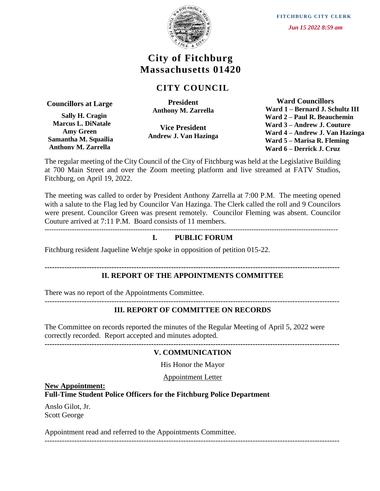

# **City of Fitchburg Massachusetts 01420**

# **CITY COUNCIL**

**Councillors at Large**

 **Sally H. Cragin Marcus L. DiNatale Amy Green Samantha M. Squailia Anthony M. Zarrella**

**President Anthony M. Zarrella**

**Vice President Andrew J. Van Hazinga**

 **Ward Councillors Ward 1 – Bernard J. Schultz III Ward 2 – Paul R. Beauchemin Ward 3 – Andrew J. Couture Ward 4 – Andrew J. Van Hazinga Ward 5 – Marisa R. Fleming Ward 6 – Derrick J. Cruz**

The regular meeting of the City Council of the City of Fitchburg was held at the Legislative Building at 700 Main Street and over the Zoom meeting platform and live streamed at FATV Studios, Fitchburg, on April 19, 2022.

The meeting was called to order by President Anthony Zarrella at 7:00 P.M. The meeting opened with a salute to the Flag led by Councilor Van Hazinga. The Clerk called the roll and 9 Councilors were present. Councilor Green was present remotely. Councilor Fleming was absent. Councilor Couture arrived at 7:11 P.M. Board consists of 11 members.

---------------------------------------------------------------------------------------------------------------------------------

### **I. PUBLIC FORUM**

Fitchburg resident Jaqueline Wehtje spoke in opposition of petition 015-22.

# **II. REPORT OF THE APPOINTMENTS COMMITTEE**

**-----------------------------------------------------------------------------------------------------------------------**

There was no report of the Appointments Committee.

#### ----------------------------------------------------------------------------------------------------------------------- **III. REPORT OF COMMITTEE ON RECORDS**

The Committee on records reported the minutes of the Regular Meeting of April 5, 2022 were correctly recorded. Report accepted and minutes adopted.

**-----------------------------------------------------------------------------------------------------------------------**

# **V. COMMUNICATION**

His Honor the Mayor

Appointment Letter

# **New Appointment:**

# **Full-Time Student Police Officers for the Fitchburg Police Department**

Anslo Gilot, Jr. Scott George

Appointment read and referred to the Appointments Committee.

-----------------------------------------------------------------------------------------------------------------------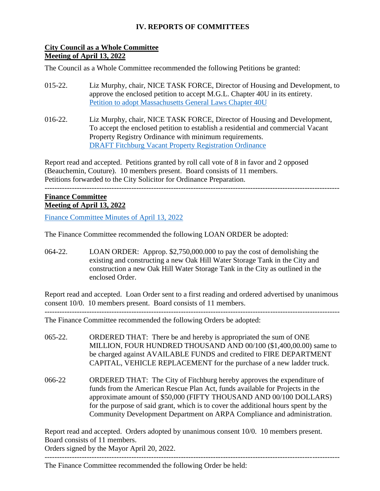# **IV. REPORTS OF COMMITTEES**

# **City Council as a Whole Committee Meeting of April 13, 2022**

The Council as a Whole Committee recommended the following Petitions be granted:

- 015-22. Liz Murphy, chair, NICE TASK FORCE, Director of Housing and Development, to approve the enclosed petition to accept M.G.L. Chapter 40U in its entirety. [Petition to adopt Massachusetts General Laws Chapter 40U](https://ma-fitchburg.civicplus.com/DocumentCenter/View/9409/legislation-to-adopt-40U)
- 016-22. Liz Murphy, chair, NICE TASK FORCE, Director of Housing and Development, To accept the enclosed petition to establish a residential and commercial Vacant Property Registry Ordinance with minimum requirements. [DRAFT Fitchburg Vacant Property Registration Ordinance](https://ma-fitchburg.civicplus.com/DocumentCenter/View/9408/Vacant-Property-Registry-Ordinance-with-maintenance-requirements-01262_)

Report read and accepted. Petitions granted by roll call vote of 8 in favor and 2 opposed (Beauchemin, Couture). 10 members present. Board consists of 11 members. Petitions forwarded to the City Solicitor for Ordinance Preparation.

-----------------------------------------------------------------------------------------------------------------------

### **Finance Committee Meeting of April 13, 2022**

[Finance Committee Minutes of April 13, 2022](https://www.fitchburgma.gov/DocumentCenter/View/9705/Finance-Committee-Minutes-of-April-13-2022)

The Finance Committee recommended the following LOAN ORDER be adopted:

064-22. LOAN ORDER: Approp. \$2,750,000.000 to pay the cost of demolishing the existing and constructing a new Oak Hill Water Storage Tank in the City and construction a new Oak Hill Water Storage Tank in the City as outlined in the enclosed Order.

Report read and accepted. Loan Order sent to a first reading and ordered advertised by unanimous consent 10/0. 10 members present. Board consists of 11 members. -----------------------------------------------------------------------------------------------------------------------

The Finance Committee recommended the following Orders be adopted:

- 065-22. ORDERED THAT: There be and hereby is appropriated the sum of ONE MILLION, FOUR HUNDRED THOUSAND AND 00/100 (\$1,400,00.00) same to be charged against AVAILABLE FUNDS and credited to FIRE DEPARTMENT CAPITAL, VEHICLE REPLACEMENT for the purchase of a new ladder truck.
- 066-22 ORDERED THAT: The City of Fitchburg hereby approves the expenditure of funds from the American Rescue Plan Act, funds available for Projects in the approximate amount of \$50,000 (FIFTY THOUSAND AND 00/100 DOLLARS) for the purpose of said grant, which is to cover the additional hours spent by the Community Development Department on ARPA Compliance and administration.

Report read and accepted. Orders adopted by unanimous consent 10/0. 10 members present. Board consists of 11 members. Orders signed by the Mayor April 20, 2022.

-----------------------------------------------------------------------------------------------------------------------

The Finance Committee recommended the following Order be held: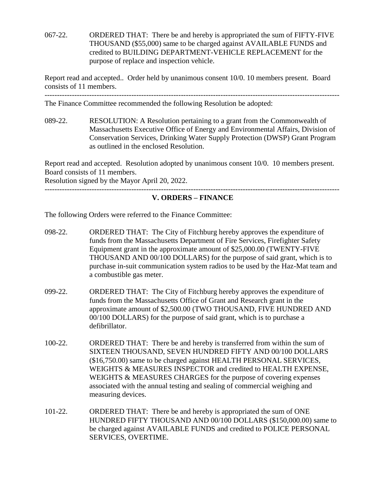067-22. ORDERED THAT: There be and hereby is appropriated the sum of FIFTY-FIVE THOUSAND (\$55,000) same to be charged against AVAILABLE FUNDS and credited to BUILDING DEPARTMENT-VEHICLE REPLACEMENT for the purpose of replace and inspection vehicle.

Report read and accepted.. Order held by unanimous consent 10/0. 10 members present. Board consists of 11 members.

-----------------------------------------------------------------------------------------------------------------------

The Finance Committee recommended the following Resolution be adopted:

089-22. RESOLUTION: A Resolution pertaining to a grant from the Commonwealth of Massachusetts Executive Office of Energy and Environmental Affairs, Division of Conservation Services, Drinking Water Supply Protection (DWSP) Grant Program as outlined in the enclosed Resolution.

Report read and accepted. Resolution adopted by unanimous consent 10/0. 10 members present. Board consists of 11 members.

Resolution signed by the Mayor April 20, 2022.

#### **V. ORDERS – FINANCE**

The following Orders were referred to the Finance Committee:

- 098-22. ORDERED THAT: The City of Fitchburg hereby approves the expenditure of funds from the Massachusetts Department of Fire Services, Firefighter Safety Equipment grant in the approximate amount of \$25,000.00 (TWENTY-FIVE THOUSAND AND 00/100 DOLLARS) for the purpose of said grant, which is to purchase in-suit communication system radios to be used by the Haz-Mat team and a combustible gas meter.
- 099-22. ORDERED THAT: The City of Fitchburg hereby approves the expenditure of funds from the Massachusetts Office of Grant and Research grant in the approximate amount of \$2,500.00 (TWO THOUSAND, FIVE HUNDRED AND 00/100 DOLLARS) for the purpose of said grant, which is to purchase a defibrillator.
- 100-22. ORDERED THAT: There be and hereby is transferred from within the sum of SIXTEEN THOUSAND, SEVEN HUNDRED FIFTY AND 00/100 DOLLARS (\$16,750.00) same to be charged against HEALTH PERSONAL SERVICES, WEIGHTS & MEASURES INSPECTOR and credited to HEALTH EXPENSE, WEIGHTS & MEASURES CHARGES for the purpose of covering expenses associated with the annual testing and sealing of commercial weighing and measuring devices.
- 101-22. ORDERED THAT: There be and hereby is appropriated the sum of ONE HUNDRED FIFTY THOUSAND AND 00/100 DOLLARS (\$150,000.00) same to be charged against AVAILABLE FUNDS and credited to POLICE PERSONAL SERVICES, OVERTIME.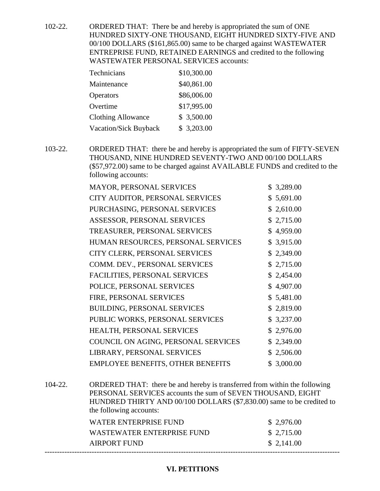102-22. ORDERED THAT: There be and hereby is appropriated the sum of ONE HUNDRED SIXTY-ONE THOUSAND, EIGHT HUNDRED SIXTY-FIVE AND 00/100 DOLLARS (\$161,865.00) same to be charged against WASTEWATER ENTREPRISE FUND, RETAINED EARNINGS and credited to the following WASTEWATER PERSONAL SERVICES accounts:

| Technicians                  | \$10,300.00 |
|------------------------------|-------------|
| Maintenance                  | \$40,861.00 |
| <b>Operators</b>             | \$86,006.00 |
| Overtime                     | \$17,995.00 |
| <b>Clothing Allowance</b>    | \$3,500.00  |
| <b>Vacation/Sick Buyback</b> | \$3,203.00  |

103-22. ORDERED THAT: there be and hereby is appropriated the sum of FIFTY-SEVEN THOUSAND, NINE HUNDRED SEVENTY-TWO AND 00/100 DOLLARS (\$57,972.00) same to be charged against AVAILABLE FUNDS and credited to the following accounts:

| <b>MAYOR, PERSONAL SERVICES</b>          | \$3,289.00     |
|------------------------------------------|----------------|
| CITY AUDITOR, PERSONAL SERVICES          | \$5,691.00     |
| PURCHASING, PERSONAL SERVICES            | \$2,610.00     |
| ASSESSOR, PERSONAL SERVICES              | \$2,715.00     |
| TREASURER, PERSONAL SERVICES             | \$4,959.00     |
| HUMAN RESOURCES, PERSONAL SERVICES       | \$3,915.00     |
| CITY CLERK, PERSONAL SERVICES            | \$2,349.00     |
| COMM. DEV., PERSONAL SERVICES            | \$2,715.00     |
| FACILITIES, PERSONAL SERVICES            | \$2,454.00     |
| POLICE, PERSONAL SERVICES                | \$4,907.00     |
| FIRE, PERSONAL SERVICES                  | \$5,481.00     |
| <b>BUILDING, PERSONAL SERVICES</b>       | \$2,819.00     |
| PUBLIC WORKS, PERSONAL SERVICES          | \$3,237.00     |
| HEALTH, PERSONAL SERVICES                | \$2,976.00     |
| COUNCIL ON AGING, PERSONAL SERVICES      | \$2,349.00     |
| LIBRARY, PERSONAL SERVICES               | 2,506.00<br>\$ |
| <b>EMPLOYEE BENEFITS, OTHER BENEFITS</b> | \$3,000.00     |

104-22. ORDERED THAT: there be and hereby is transferred from within the following PERSONAL SERVICES accounts the sum of SEVEN THOUSAND, EIGHT HUNDRED THIRTY AND 00/100 DOLLARS (\$7,830.00) same to be credited to the following accounts:

| WATER ENTERPRISE FUND      | \$ 2,976.00 |
|----------------------------|-------------|
| WASTEWATER ENTERPRISE FUND | \$ 2,715.00 |
| AIRPORT FUND               | \$2,141.00  |

# **VI. PETITIONS**